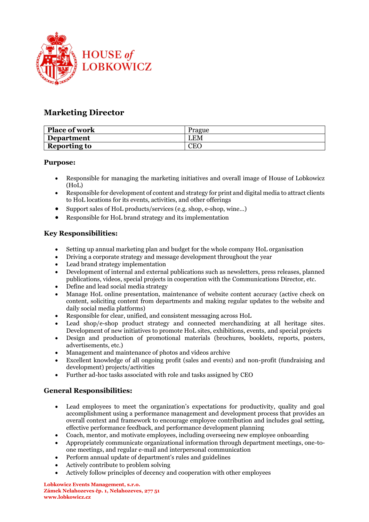

# **Marketing Director**

| <b>Place of work</b> | Prague                             |
|----------------------|------------------------------------|
| <b>Department</b>    | LEM                                |
| <b>Reporting to</b>  | $\mathop{\hbox{\rm E}}\nolimits C$ |

#### **Purpose:**

- Responsible for managing the marketing initiatives and overall image of House of Lobkowicz (HoL)
- Responsible for development of content and strategy for print and digital media to attract clients to HoL locations for its events, activities, and other offerings
- Support sales of HoL products/services (e.g. shop, e-shop, wine...)
- Responsible for HoL brand strategy and its implementation

## **Key Responsibilities:**

- Setting up annual marketing plan and budget for the whole company HoL organisation
- Driving a corporate strategy and message development throughout the year
- Lead brand strategy implementation
- Development of internal and external publications such as newsletters, press releases, planned publications, videos, special projects in cooperation with the Communications Director, etc.
- Define and lead social media strategy
- Manage HoL online presentation, maintenance of website content accuracy (active check on content, soliciting content from departments and making regular updates to the website and daily social media platforms)
- Responsible for clear, unified, and consistent messaging across HoL
- Lead shop/e-shop product strategy and connected merchandizing at all heritage sites. Development of new initiatives to promote HoL sites, exhibitions, events, and special projects
- Design and production of promotional materials (brochures, booklets, reports, posters, advertisements, etc.)
- Management and maintenance of photos and videos archive
- Excellent knowledge of all ongoing profit (sales and events) and non-profit (fundraising and development) projects/activities
- Further ad-hoc tasks associated with role and tasks assigned by CEO

## **General Responsibilities:**

- Lead employees to meet the organization's expectations for productivity, quality and goal accomplishment using a performance management and development process that provides an overall context and framework to encourage employee contribution and includes goal setting, effective performance feedback, and performance development planning
- Coach, mentor, and motivate employees, including overseeing new employee onboarding
- Appropriately communicate organizational information through department meetings, one-toone meetings, and regular e-mail and interpersonal communication
- Perform annual update of department's rules and guidelines
- Actively contribute to problem solving
- Actively follow principles of decency and cooperation with other employees